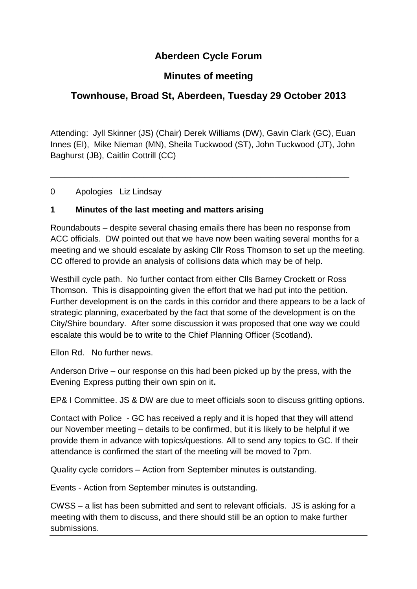## **Aberdeen Cycle Forum**

## **Minutes of meeting**

## **Townhouse, Broad St, Aberdeen, Tuesday 29 October 2013**

Attending: Jyll Skinner (JS) (Chair) Derek Williams (DW), Gavin Clark (GC), Euan Innes (EI), Mike Nieman (MN), Sheila Tuckwood (ST), John Tuckwood (JT), John Baghurst (JB), Caitlin Cottrill (CC)

\_\_\_\_\_\_\_\_\_\_\_\_\_\_\_\_\_\_\_\_\_\_\_\_\_\_\_\_\_\_\_\_\_\_\_\_\_\_\_\_\_\_\_\_\_\_\_\_\_\_\_\_\_\_\_\_\_\_\_\_\_\_\_\_

0 Apologies Liz Lindsay

#### **1 Minutes of the last meeting and matters arising**

Roundabouts – despite several chasing emails there has been no response from ACC officials. DW pointed out that we have now been waiting several months for a meeting and we should escalate by asking Cllr Ross Thomson to set up the meeting. CC offered to provide an analysis of collisions data which may be of help.

Westhill cycle path. No further contact from either Clls Barney Crockett or Ross Thomson. This is disappointing given the effort that we had put into the petition. Further development is on the cards in this corridor and there appears to be a lack of strategic planning, exacerbated by the fact that some of the development is on the City/Shire boundary. After some discussion it was proposed that one way we could escalate this would be to write to the Chief Planning Officer (Scotland).

Ellon Rd. No further news.

Anderson Drive – our response on this had been picked up by the press, with the Evening Express putting their own spin on it**.**

EP& I Committee. JS & DW are due to meet officials soon to discuss gritting options.

Contact with Police - GC has received a reply and it is hoped that they will attend our November meeting – details to be confirmed, but it is likely to be helpful if we provide them in advance with topics/questions. All to send any topics to GC. If their attendance is confirmed the start of the meeting will be moved to 7pm.

Quality cycle corridors – Action from September minutes is outstanding.

Events - Action from September minutes is outstanding.

CWSS – a list has been submitted and sent to relevant officials. JS is asking for a meeting with them to discuss, and there should still be an option to make further submissions.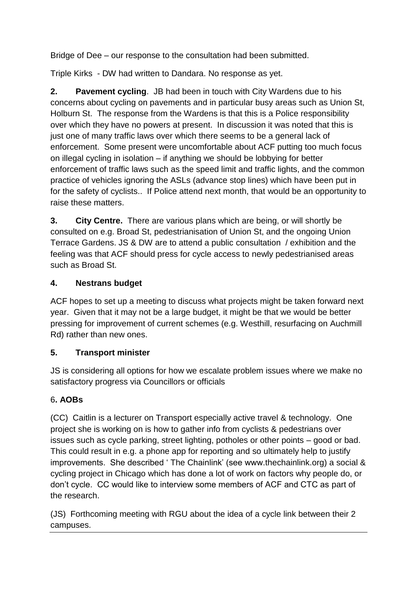Bridge of Dee – our response to the consultation had been submitted.

Triple Kirks - DW had written to Dandara. No response as yet.

**2. Pavement cycling**. JB had been in touch with City Wardens due to his concerns about cycling on pavements and in particular busy areas such as Union St, Holburn St. The response from the Wardens is that this is a Police responsibility over which they have no powers at present. In discussion it was noted that this is just one of many traffic laws over which there seems to be a general lack of enforcement. Some present were uncomfortable about ACF putting too much focus on illegal cycling in isolation – if anything we should be lobbying for better enforcement of traffic laws such as the speed limit and traffic lights, and the common practice of vehicles ignoring the ASLs (advance stop lines) which have been put in for the safety of cyclists.. If Police attend next month, that would be an opportunity to raise these matters.

**3. City Centre.** There are various plans which are being, or will shortly be consulted on e.g. Broad St, pedestrianisation of Union St, and the ongoing Union Terrace Gardens. JS & DW are to attend a public consultation / exhibition and the feeling was that ACF should press for cycle access to newly pedestrianised areas such as Broad St.

#### **4. Nestrans budget**

ACF hopes to set up a meeting to discuss what projects might be taken forward next year. Given that it may not be a large budget, it might be that we would be better pressing for improvement of current schemes (e.g. Westhill, resurfacing on Auchmill Rd) rather than new ones.

### **5. Transport minister**

JS is considering all options for how we escalate problem issues where we make no satisfactory progress via Councillors or officials

### 6**. AOBs**

(CC)Caitlin is a lecturer on Transport especially active travel & technology. One project she is working on is how to gather info from cyclists & pedestrians over issues such as cycle parking, street lighting, potholes or other points – good or bad. This could result in e.g. a phone app for reporting and so ultimately help to justify improvements. She described ' The Chainlink' (see www.thechainlink.org) a social & cycling project in Chicago which has done a lot of work on factors why people do, or don't cycle. CC would like to interview some members of ACF and CTC as part of the research.

(JS) Forthcoming meeting with RGU about the idea of a cycle link between their 2 campuses.